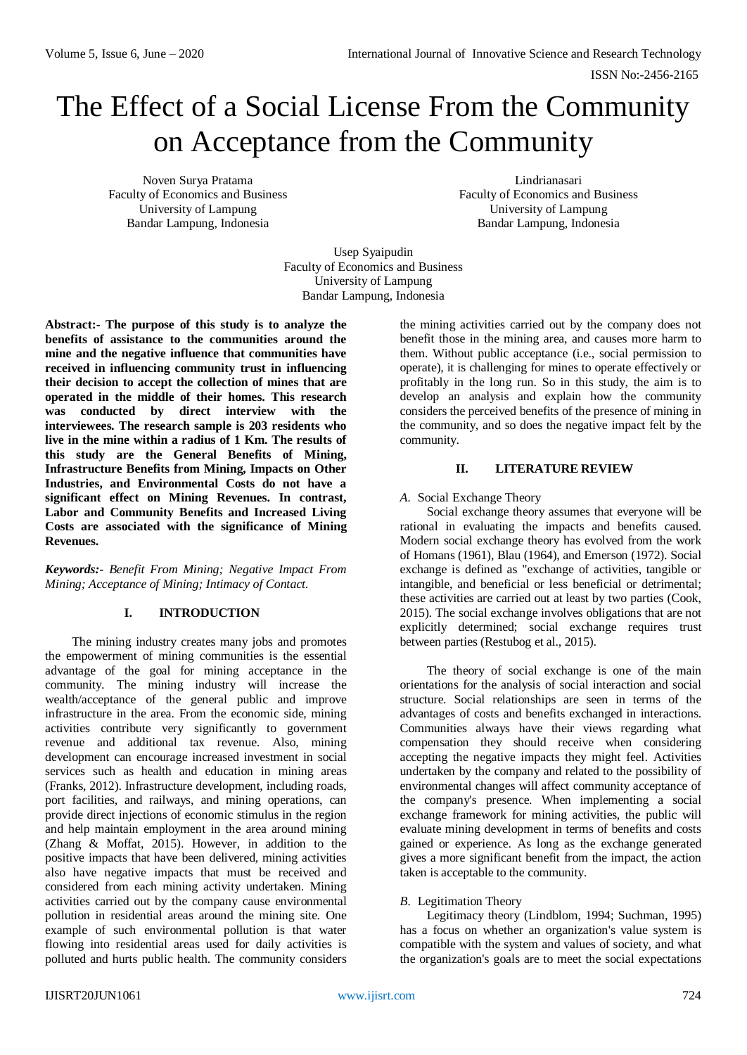# The Effect of a Social License From the Community on Acceptance from the Community

Noven Surya Pratama Faculty of Economics and Business University of Lampung Bandar Lampung, Indonesia

Lindrianasari Faculty of Economics and Business University of Lampung Bandar Lampung, Indonesia

Usep Syaipudin Faculty of Economics and Business University of Lampung Bandar Lampung, Indonesia

**Abstract:- The purpose of this study is to analyze the benefits of assistance to the communities around the mine and the negative influence that communities have received in influencing community trust in influencing their decision to accept the collection of mines that are operated in the middle of their homes. This research was conducted by direct interview with the interviewees. The research sample is 203 residents who live in the mine within a radius of 1 Km. The results of this study are the General Benefits of Mining, Infrastructure Benefits from Mining, Impacts on Other Industries, and Environmental Costs do not have a significant effect on Mining Revenues. In contrast, Labor and Community Benefits and Increased Living Costs are associated with the significance of Mining Revenues.** 

*Keywords:- Benefit From Mining; Negative Impact From Mining; Acceptance of Mining; Intimacy of Contact.*

# **I. INTRODUCTION**

The mining industry creates many jobs and promotes the empowerment of mining communities is the essential advantage of the goal for mining acceptance in the community. The mining industry will increase the wealth/acceptance of the general public and improve infrastructure in the area. From the economic side, mining activities contribute very significantly to government revenue and additional tax revenue. Also, mining development can encourage increased investment in social services such as health and education in mining areas (Franks, 2012). Infrastructure development, including roads, port facilities, and railways, and mining operations, can provide direct injections of economic stimulus in the region and help maintain employment in the area around mining (Zhang & Moffat, 2015). However, in addition to the positive impacts that have been delivered, mining activities also have negative impacts that must be received and considered from each mining activity undertaken. Mining activities carried out by the company cause environmental pollution in residential areas around the mining site. One example of such environmental pollution is that water flowing into residential areas used for daily activities is polluted and hurts public health. The community considers

the mining activities carried out by the company does not benefit those in the mining area, and causes more harm to them. Without public acceptance (i.e., social permission to operate), it is challenging for mines to operate effectively or profitably in the long run. So in this study, the aim is to develop an analysis and explain how the community considers the perceived benefits of the presence of mining in the community, and so does the negative impact felt by the community.

# **II. LITERATURE REVIEW**

*A.* Social Exchange Theory

Social exchange theory assumes that everyone will be rational in evaluating the impacts and benefits caused. Modern social exchange theory has evolved from the work of Homans (1961), Blau (1964), and Emerson (1972). Social exchange is defined as "exchange of activities, tangible or intangible, and beneficial or less beneficial or detrimental; these activities are carried out at least by two parties (Cook, 2015). The social exchange involves obligations that are not explicitly determined; social exchange requires trust between parties (Restubog et al., 2015).

The theory of social exchange is one of the main orientations for the analysis of social interaction and social structure. Social relationships are seen in terms of the advantages of costs and benefits exchanged in interactions. Communities always have their views regarding what compensation they should receive when considering accepting the negative impacts they might feel. Activities undertaken by the company and related to the possibility of environmental changes will affect community acceptance of the company's presence. When implementing a social exchange framework for mining activities, the public will evaluate mining development in terms of benefits and costs gained or experience. As long as the exchange generated gives a more significant benefit from the impact, the action taken is acceptable to the community.

# *B.* Legitimation Theory

Legitimacy theory (Lindblom, 1994; Suchman, 1995) has a focus on whether an organization's value system is compatible with the system and values of society, and what the organization's goals are to meet the social expectations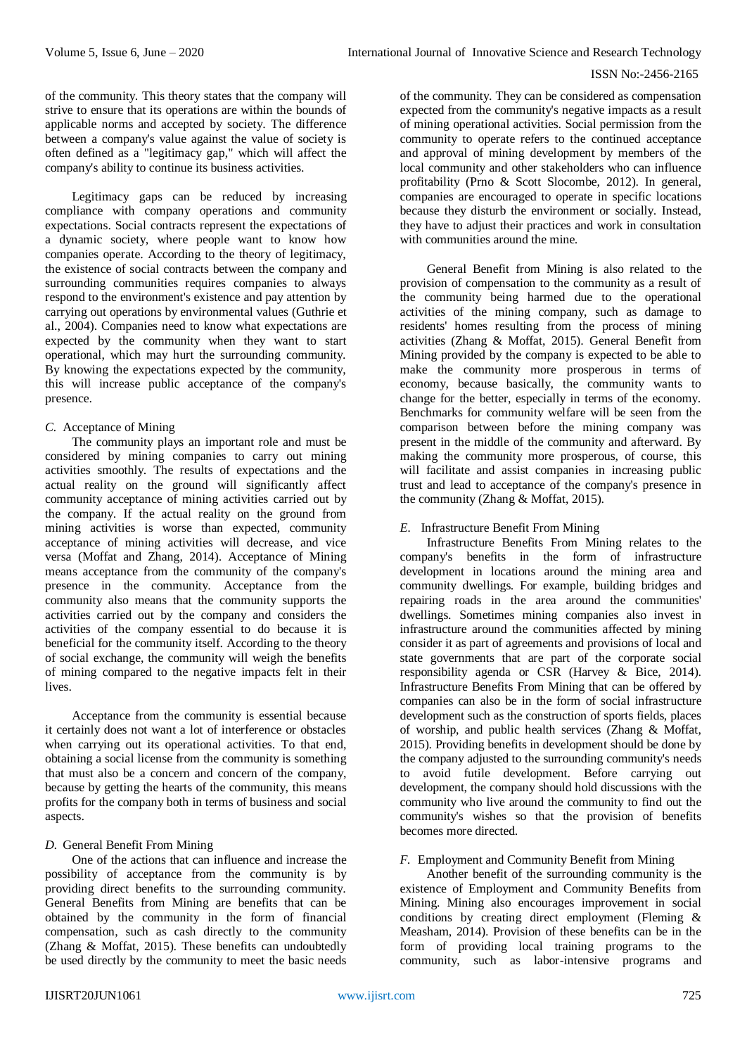of the community. This theory states that the company will strive to ensure that its operations are within the bounds of applicable norms and accepted by society. The difference between a company's value against the value of society is often defined as a "legitimacy gap," which will affect the company's ability to continue its business activities.

Legitimacy gaps can be reduced by increasing compliance with company operations and community expectations. Social contracts represent the expectations of a dynamic society, where people want to know how companies operate. According to the theory of legitimacy, the existence of social contracts between the company and surrounding communities requires companies to always respond to the environment's existence and pay attention by carrying out operations by environmental values (Guthrie et al., 2004). Companies need to know what expectations are expected by the community when they want to start operational, which may hurt the surrounding community. By knowing the expectations expected by the community, this will increase public acceptance of the company's presence.

# *C.* Acceptance of Mining

The community plays an important role and must be considered by mining companies to carry out mining activities smoothly. The results of expectations and the actual reality on the ground will significantly affect community acceptance of mining activities carried out by the company. If the actual reality on the ground from mining activities is worse than expected, community acceptance of mining activities will decrease, and vice versa (Moffat and Zhang, 2014). Acceptance of Mining means acceptance from the community of the company's presence in the community. Acceptance from the community also means that the community supports the activities carried out by the company and considers the activities of the company essential to do because it is beneficial for the community itself. According to the theory of social exchange, the community will weigh the benefits of mining compared to the negative impacts felt in their lives.

Acceptance from the community is essential because it certainly does not want a lot of interference or obstacles when carrying out its operational activities. To that end, obtaining a social license from the community is something that must also be a concern and concern of the company, because by getting the hearts of the community, this means profits for the company both in terms of business and social aspects.

## *D.* General Benefit From Mining

One of the actions that can influence and increase the possibility of acceptance from the community is by providing direct benefits to the surrounding community. General Benefits from Mining are benefits that can be obtained by the community in the form of financial compensation, such as cash directly to the community (Zhang & Moffat, 2015). These benefits can undoubtedly be used directly by the community to meet the basic needs

of the community. They can be considered as compensation expected from the community's negative impacts as a result of mining operational activities. Social permission from the community to operate refers to the continued acceptance and approval of mining development by members of the local community and other stakeholders who can influence profitability (Prno & Scott Slocombe, 2012). In general, companies are encouraged to operate in specific locations because they disturb the environment or socially. Instead, they have to adjust their practices and work in consultation with communities around the mine.

General Benefit from Mining is also related to the provision of compensation to the community as a result of the community being harmed due to the operational activities of the mining company, such as damage to residents' homes resulting from the process of mining activities (Zhang & Moffat, 2015). General Benefit from Mining provided by the company is expected to be able to make the community more prosperous in terms of economy, because basically, the community wants to change for the better, especially in terms of the economy. Benchmarks for community welfare will be seen from the comparison between before the mining company was present in the middle of the community and afterward. By making the community more prosperous, of course, this will facilitate and assist companies in increasing public trust and lead to acceptance of the company's presence in the community (Zhang & Moffat, 2015).

# *E.* Infrastructure Benefit From Mining

Infrastructure Benefits From Mining relates to the company's benefits in the form of infrastructure development in locations around the mining area and community dwellings. For example, building bridges and repairing roads in the area around the communities' dwellings. Sometimes mining companies also invest in infrastructure around the communities affected by mining consider it as part of agreements and provisions of local and state governments that are part of the corporate social responsibility agenda or CSR (Harvey & Bice, 2014). Infrastructure Benefits From Mining that can be offered by companies can also be in the form of social infrastructure development such as the construction of sports fields, places of worship, and public health services (Zhang & Moffat, 2015). Providing benefits in development should be done by the company adjusted to the surrounding community's needs to avoid futile development. Before carrying out development, the company should hold discussions with the community who live around the community to find out the community's wishes so that the provision of benefits becomes more directed.

## *F.* Employment and Community Benefit from Mining

Another benefit of the surrounding community is the existence of Employment and Community Benefits from Mining. Mining also encourages improvement in social conditions by creating direct employment (Fleming & Measham, 2014). Provision of these benefits can be in the form of providing local training programs to the community, such as labor-intensive programs and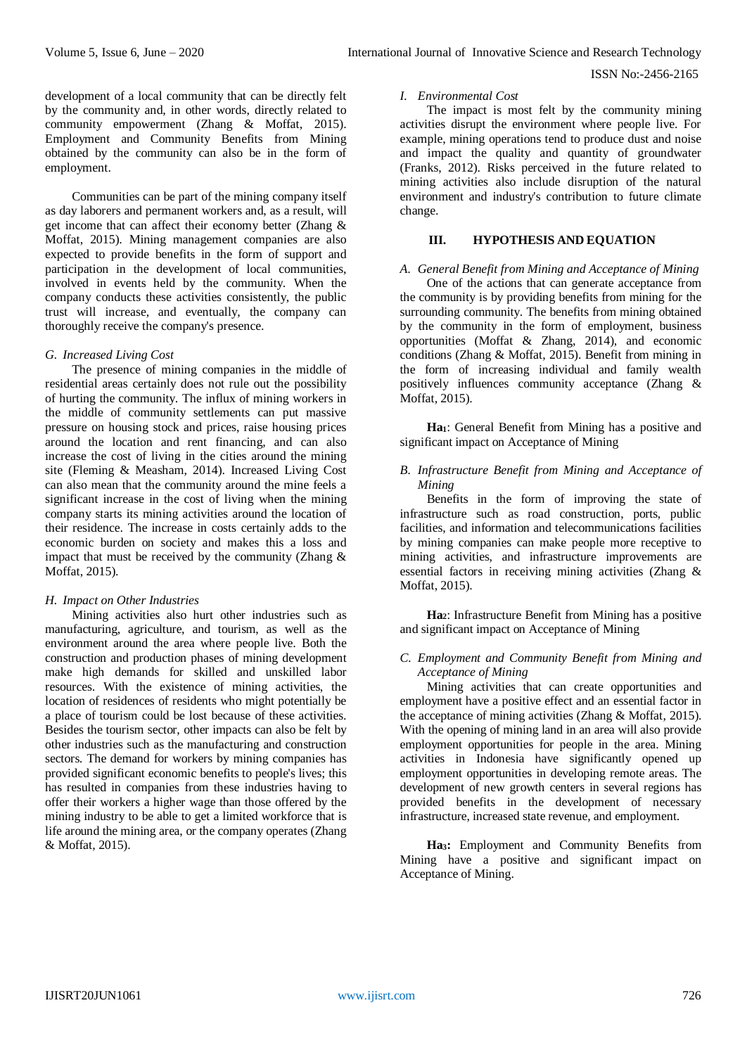development of a local community that can be directly felt by the community and, in other words, directly related to community empowerment (Zhang & Moffat, 2015). Employment and Community Benefits from Mining obtained by the community can also be in the form of employment.

Communities can be part of the mining company itself as day laborers and permanent workers and, as a result, will get income that can affect their economy better (Zhang & Moffat, 2015). Mining management companies are also expected to provide benefits in the form of support and participation in the development of local communities, involved in events held by the community. When the company conducts these activities consistently, the public trust will increase, and eventually, the company can thoroughly receive the company's presence.

## *G. Increased Living Cost*

The presence of mining companies in the middle of residential areas certainly does not rule out the possibility of hurting the community. The influx of mining workers in the middle of community settlements can put massive pressure on housing stock and prices, raise housing prices around the location and rent financing, and can also increase the cost of living in the cities around the mining site (Fleming & Measham, 2014). Increased Living Cost can also mean that the community around the mine feels a significant increase in the cost of living when the mining company starts its mining activities around the location of their residence. The increase in costs certainly adds to the economic burden on society and makes this a loss and impact that must be received by the community (Zhang & Moffat, 2015).

#### *H. Impact on Other Industries*

Mining activities also hurt other industries such as manufacturing, agriculture, and tourism, as well as the environment around the area where people live. Both the construction and production phases of mining development make high demands for skilled and unskilled labor resources. With the existence of mining activities, the location of residences of residents who might potentially be a place of tourism could be lost because of these activities. Besides the tourism sector, other impacts can also be felt by other industries such as the manufacturing and construction sectors. The demand for workers by mining companies has provided significant economic benefits to people's lives; this has resulted in companies from these industries having to offer their workers a higher wage than those offered by the mining industry to be able to get a limited workforce that is life around the mining area, or the company operates (Zhang & Moffat, 2015).

# *I. Environmental Cost*

The impact is most felt by the community mining activities disrupt the environment where people live. For example, mining operations tend to produce dust and noise and impact the quality and quantity of groundwater (Franks, 2012). Risks perceived in the future related to mining activities also include disruption of the natural environment and industry's contribution to future climate change.

# **III. HYPOTHESIS AND EQUATION**

#### *A. General Benefit from Mining and Acceptance of Mining*

One of the actions that can generate acceptance from the community is by providing benefits from mining for the surrounding community. The benefits from mining obtained by the community in the form of employment, business opportunities (Moffat & Zhang, 2014), and economic conditions (Zhang & Moffat, 2015). Benefit from mining in the form of increasing individual and family wealth positively influences community acceptance (Zhang & Moffat, 2015).

**Ha1**: General Benefit from Mining has a positive and significant impact on Acceptance of Mining

## *B. Infrastructure Benefit from Mining and Acceptance of Mining*

Benefits in the form of improving the state of infrastructure such as road construction, ports, public facilities, and information and telecommunications facilities by mining companies can make people more receptive to mining activities, and infrastructure improvements are essential factors in receiving mining activities (Zhang & Moffat, 2015).

**Ha2**: Infrastructure Benefit from Mining has a positive and significant impact on Acceptance of Mining

## *C. Employment and Community Benefit from Mining and Acceptance of Mining*

Mining activities that can create opportunities and employment have a positive effect and an essential factor in the acceptance of mining activities (Zhang & Moffat, 2015). With the opening of mining land in an area will also provide employment opportunities for people in the area. Mining activities in Indonesia have significantly opened up employment opportunities in developing remote areas. The development of new growth centers in several regions has provided benefits in the development of necessary infrastructure, increased state revenue, and employment.

**Ha3:** Employment and Community Benefits from Mining have a positive and significant impact on Acceptance of Mining.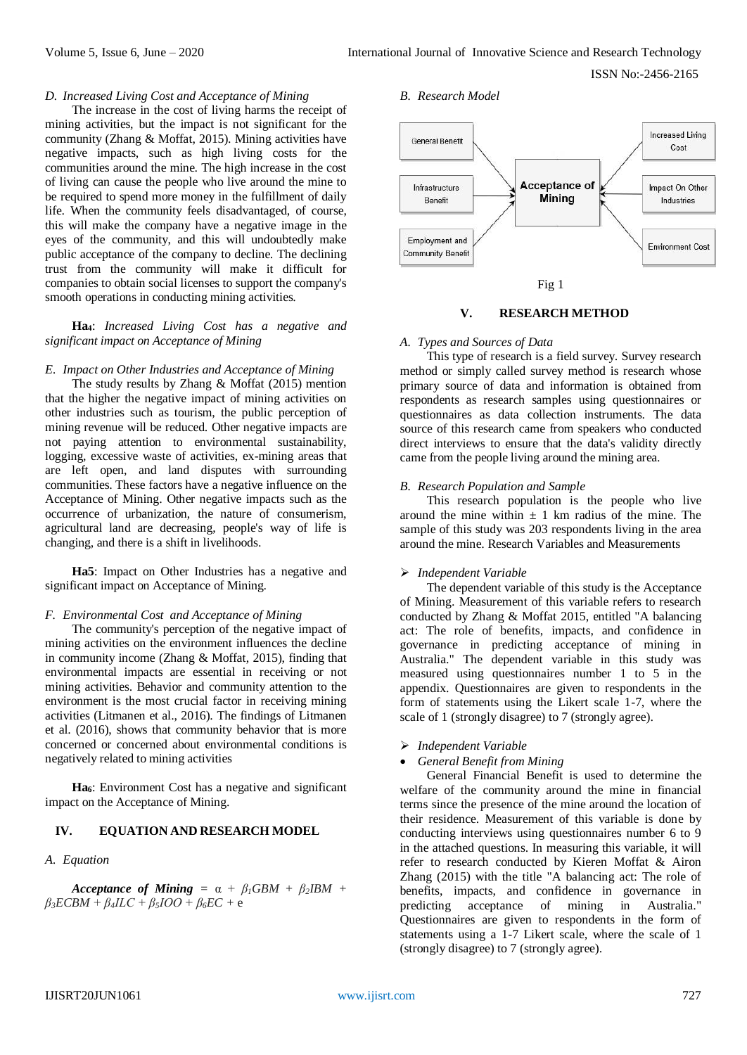# *D. Increased Living Cost and Acceptance of Mining*

The increase in the cost of living harms the receipt of mining activities, but the impact is not significant for the community (Zhang & Moffat, 2015). Mining activities have negative impacts, such as high living costs for the communities around the mine. The high increase in the cost of living can cause the people who live around the mine to be required to spend more money in the fulfillment of daily life. When the community feels disadvantaged, of course, this will make the company have a negative image in the eyes of the community, and this will undoubtedly make public acceptance of the company to decline. The declining trust from the community will make it difficult for companies to obtain social licenses to support the company's smooth operations in conducting mining activities.

## **Ha4**: *Increased Living Cost has a negative and significant impact on Acceptance of Mining*

## *E. Impact on Other Industries and Acceptance of Mining*

The study results by Zhang & Moffat (2015) mention that the higher the negative impact of mining activities on other industries such as tourism, the public perception of mining revenue will be reduced. Other negative impacts are not paying attention to environmental sustainability, logging, excessive waste of activities, ex-mining areas that are left open, and land disputes with surrounding communities. These factors have a negative influence on the Acceptance of Mining. Other negative impacts such as the occurrence of urbanization, the nature of consumerism, agricultural land are decreasing, people's way of life is changing, and there is a shift in livelihoods.

**Ha5**: Impact on Other Industries has a negative and significant impact on Acceptance of Mining.

#### *F. Environmental Cost and Acceptance of Mining*

The community's perception of the negative impact of mining activities on the environment influences the decline in community income (Zhang & Moffat, 2015), finding that environmental impacts are essential in receiving or not mining activities. Behavior and community attention to the environment is the most crucial factor in receiving mining activities (Litmanen et al., 2016). The findings of Litmanen et al. (2016), shows that community behavior that is more concerned or concerned about environmental conditions is negatively related to mining activities

**Ha6**: Environment Cost has a negative and significant impact on the Acceptance of Mining.

## **IV. EQUATION AND RESEARCH MODEL**

#### *A. Equation*

*Acceptance of Mining* =  $\alpha + \beta \beta GBM + \beta \beta BM + \beta G$ *β3ECBM + β4ILC + β5IOO + β6EC +* e

#### *B. Research Model*





#### **V. RESEARCH METHOD**

# *A. Types and Sources of Data*

This type of research is a field survey. Survey research method or simply called survey method is research whose primary source of data and information is obtained from respondents as research samples using questionnaires or questionnaires as data collection instruments. The data source of this research came from speakers who conducted direct interviews to ensure that the data's validity directly came from the people living around the mining area.

## *B. Research Population and Sample*

This research population is the people who live around the mine within  $\pm$  1 km radius of the mine. The sample of this study was 203 respondents living in the area around the mine. Research Variables and Measurements

## *Independent Variable*

The dependent variable of this study is the Acceptance of Mining. Measurement of this variable refers to research conducted by Zhang & Moffat 2015, entitled "A balancing act: The role of benefits, impacts, and confidence in governance in predicting acceptance of mining in Australia." The dependent variable in this study was measured using questionnaires number 1 to 5 in the appendix. Questionnaires are given to respondents in the form of statements using the Likert scale 1-7, where the scale of 1 (strongly disagree) to 7 (strongly agree).

- *Independent Variable*
- *General Benefit from Mining*

General Financial Benefit is used to determine the welfare of the community around the mine in financial terms since the presence of the mine around the location of their residence. Measurement of this variable is done by conducting interviews using questionnaires number 6 to 9 in the attached questions. In measuring this variable, it will refer to research conducted by Kieren Moffat & Airon Zhang (2015) with the title "A balancing act: The role of benefits, impacts, and confidence in governance in predicting acceptance of mining in Australia." Questionnaires are given to respondents in the form of statements using a 1-7 Likert scale, where the scale of 1 (strongly disagree) to 7 (strongly agree).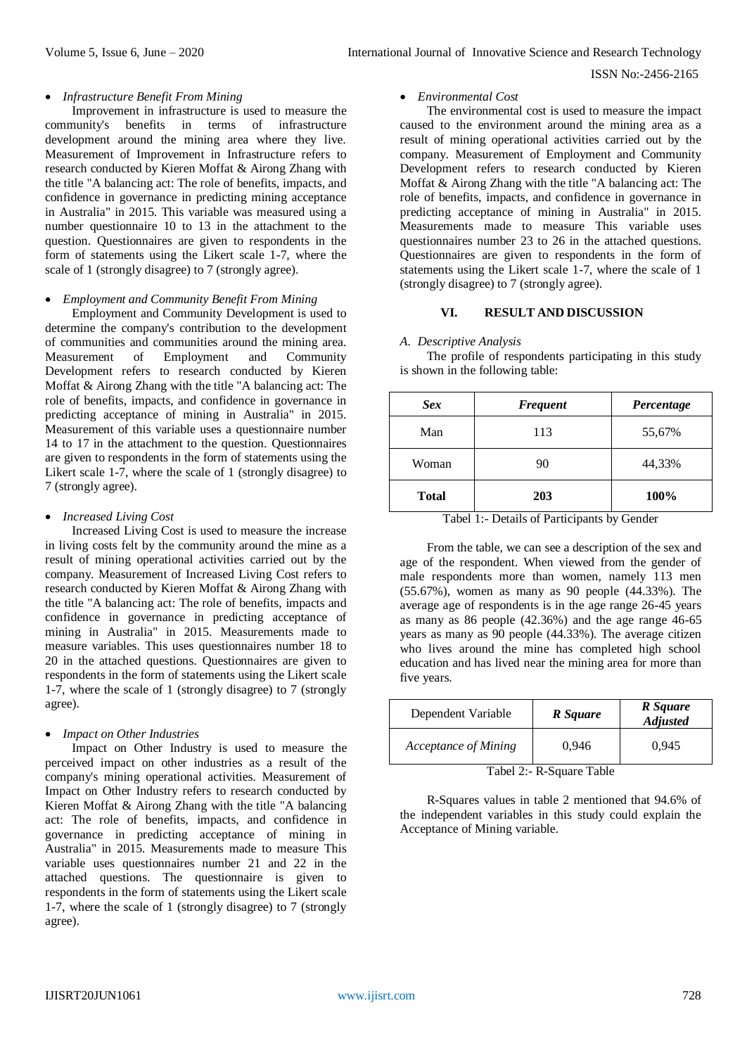#### *Infrastructure Benefit From Mining*

Improvement in infrastructure is used to measure the community's benefits in terms of infrastructure development around the mining area where they live. Measurement of Improvement in Infrastructure refers to research conducted by Kieren Moffat & Airong Zhang with the title "A balancing act: The role of benefits, impacts, and confidence in governance in predicting mining acceptance in Australia" in 2015. This variable was measured using a number questionnaire 10 to 13 in the attachment to the question. Questionnaires are given to respondents in the form of statements using the Likert scale 1-7, where the scale of 1 (strongly disagree) to 7 (strongly agree).

## *Employment and Community Benefit From Mining*

Employment and Community Development is used to determine the company's contribution to the development of communities and communities around the mining area. Measurement of Employment and Community Development refers to research conducted by Kieren Moffat & Airong Zhang with the title "A balancing act: The role of benefits, impacts, and confidence in governance in predicting acceptance of mining in Australia" in 2015. Measurement of this variable uses a questionnaire number 14 to 17 in the attachment to the question. Questionnaires are given to respondents in the form of statements using the Likert scale 1-7, where the scale of 1 (strongly disagree) to 7 (strongly agree).

## *Increased Living Cost*

Increased Living Cost is used to measure the increase in living costs felt by the community around the mine as a result of mining operational activities carried out by the company. Measurement of Increased Living Cost refers to research conducted by Kieren Moffat & Airong Zhang with the title "A balancing act: The role of benefits, impacts and confidence in governance in predicting acceptance of mining in Australia" in 2015. Measurements made to measure variables. This uses questionnaires number 18 to 20 in the attached questions. Questionnaires are given to respondents in the form of statements using the Likert scale 1-7, where the scale of 1 (strongly disagree) to 7 (strongly agree).

#### *Impact on Other Industries*

Impact on Other Industry is used to measure the perceived impact on other industries as a result of the company's mining operational activities. Measurement of Impact on Other Industry refers to research conducted by Kieren Moffat & Airong Zhang with the title "A balancing act: The role of benefits, impacts, and confidence in governance in predicting acceptance of mining in Australia" in 2015. Measurements made to measure This variable uses questionnaires number 21 and 22 in the attached questions. The questionnaire is given to respondents in the form of statements using the Likert scale 1-7, where the scale of 1 (strongly disagree) to 7 (strongly agree).

## *Environmental Cost*

The environmental cost is used to measure the impact caused to the environment around the mining area as a result of mining operational activities carried out by the company. Measurement of Employment and Community Development refers to research conducted by Kieren Moffat & Airong Zhang with the title "A balancing act: The role of benefits, impacts, and confidence in governance in predicting acceptance of mining in Australia" in 2015. Measurements made to measure This variable uses questionnaires number 23 to 26 in the attached questions. Questionnaires are given to respondents in the form of statements using the Likert scale 1-7, where the scale of 1 (strongly disagree) to 7 (strongly agree).

### **VI. RESULT AND DISCUSSION**

#### *A. Descriptive Analysis*

The profile of respondents participating in this study is shown in the following table:

| <b>Sex</b>   | <b>Frequent</b> | Percentage |
|--------------|-----------------|------------|
| Man          | 113             | 55,67%     |
| Woman        | 90              | 44,33%     |
| <b>Total</b> | 203             | 100%       |

Tabel 1:- Details of Participants by Gender

From the table, we can see a description of the sex and age of the respondent. When viewed from the gender of male respondents more than women, namely 113 men (55.67%), women as many as 90 people (44.33%). The average age of respondents is in the age range 26-45 years as many as 86 people (42.36%) and the age range 46-65 years as many as 90 people (44.33%). The average citizen who lives around the mine has completed high school education and has lived near the mining area for more than five years.

| Dependent Variable                                                                                                            | R Square | R Square<br><b>Adjusted</b> |  |  |  |
|-------------------------------------------------------------------------------------------------------------------------------|----------|-----------------------------|--|--|--|
| Acceptance of Mining                                                                                                          | 0.946    | 0.945                       |  |  |  |
| $T_{\rm{c}}$ 1.10 $\Omega_{\rm{c}}$ $\Omega_{\rm{c}}$ $\Omega_{\rm{c}}$ $\Omega_{\rm{c}}$ $\Omega_{\rm{c}}$ $\Omega_{\rm{c}}$ |          |                             |  |  |  |

Tabel 2:- R-Square Table

R-Squares values in table 2 mentioned that 94.6% of the independent variables in this study could explain the Acceptance of Mining variable.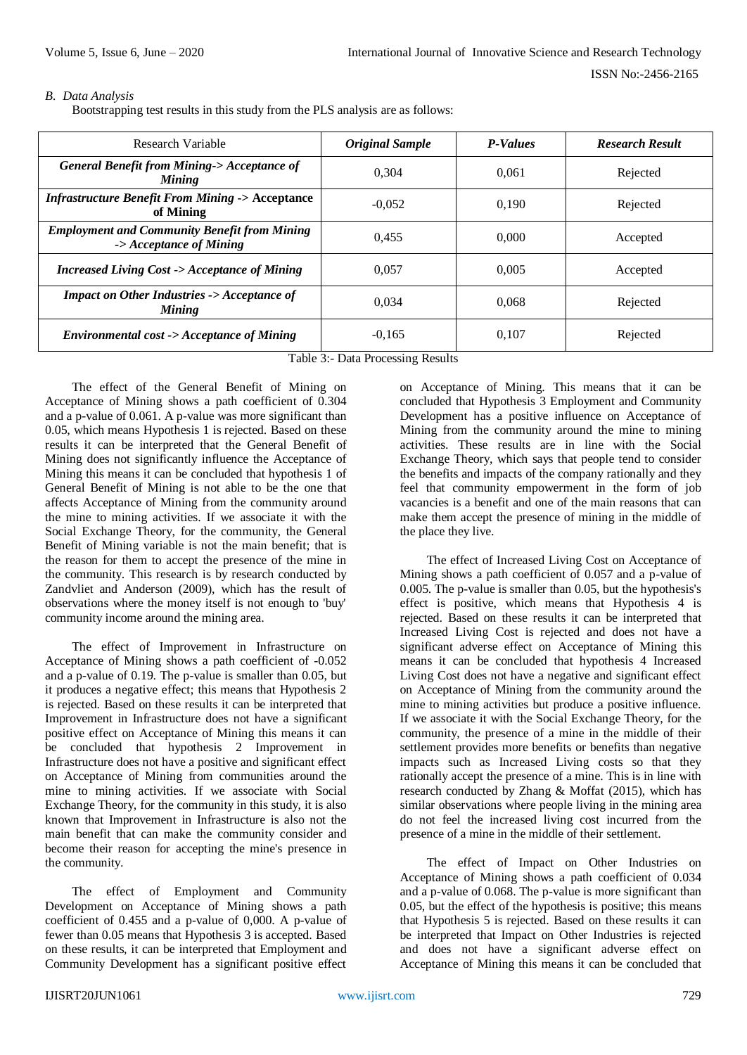# *B. Data Analysis*

Bootstrapping test results in this study from the PLS analysis are as follows:

| Research Variable                                                                         | <b>Original Sample</b> | <b>P-Values</b> | <b>Research Result</b> |
|-------------------------------------------------------------------------------------------|------------------------|-----------------|------------------------|
| <b>General Benefit from Mining-&gt;Acceptance of</b><br><b>Mining</b>                     | 0.304                  | 0.061           | Rejected               |
| <b>Infrastructure Benefit From Mining -&gt; Acceptance</b><br>of Mining                   | $-0.052$               | 0.190           | Rejected               |
| <b>Employment and Community Benefit from Mining</b><br>$\rightarrow$ Acceptance of Mining | 0.455                  | 0.000           | Accepted               |
| <b>Increased Living Cost -&gt; Acceptance of Mining</b>                                   | 0.057                  | 0.005           | Accepted               |
| <b>Impact on Other Industries -&gt; Acceptance of</b><br><b>Mining</b>                    | 0.034                  | 0.068           | Rejected               |
| <b>Environmental cost -&gt; Acceptance of Mining</b>                                      | $-0,165$               | 0,107           | Rejected               |

Table 3:- Data Processing Results

The effect of the General Benefit of Mining on Acceptance of Mining shows a path coefficient of 0.304 and a p-value of 0.061. A p-value was more significant than 0.05, which means Hypothesis 1 is rejected. Based on these results it can be interpreted that the General Benefit of Mining does not significantly influence the Acceptance of Mining this means it can be concluded that hypothesis 1 of General Benefit of Mining is not able to be the one that affects Acceptance of Mining from the community around the mine to mining activities. If we associate it with the Social Exchange Theory, for the community, the General Benefit of Mining variable is not the main benefit; that is the reason for them to accept the presence of the mine in the community. This research is by research conducted by Zandvliet and Anderson (2009), which has the result of observations where the money itself is not enough to 'buy' community income around the mining area.

The effect of Improvement in Infrastructure on Acceptance of Mining shows a path coefficient of -0.052 and a p-value of 0.19. The p-value is smaller than 0.05, but it produces a negative effect; this means that Hypothesis 2 is rejected. Based on these results it can be interpreted that Improvement in Infrastructure does not have a significant positive effect on Acceptance of Mining this means it can be concluded that hypothesis 2 Improvement in Infrastructure does not have a positive and significant effect on Acceptance of Mining from communities around the mine to mining activities. If we associate with Social Exchange Theory, for the community in this study, it is also known that Improvement in Infrastructure is also not the main benefit that can make the community consider and become their reason for accepting the mine's presence in the community.

The effect of Employment and Community Development on Acceptance of Mining shows a path coefficient of 0.455 and a p-value of 0,000. A p-value of fewer than 0.05 means that Hypothesis 3 is accepted. Based on these results, it can be interpreted that Employment and Community Development has a significant positive effect

on Acceptance of Mining. This means that it can be concluded that Hypothesis 3 Employment and Community Development has a positive influence on Acceptance of Mining from the community around the mine to mining activities. These results are in line with the Social Exchange Theory, which says that people tend to consider the benefits and impacts of the company rationally and they feel that community empowerment in the form of job vacancies is a benefit and one of the main reasons that can make them accept the presence of mining in the middle of the place they live.

The effect of Increased Living Cost on Acceptance of Mining shows a path coefficient of 0.057 and a p-value of 0.005. The p-value is smaller than 0.05, but the hypothesis's effect is positive, which means that Hypothesis 4 is rejected. Based on these results it can be interpreted that Increased Living Cost is rejected and does not have a significant adverse effect on Acceptance of Mining this means it can be concluded that hypothesis 4 Increased Living Cost does not have a negative and significant effect on Acceptance of Mining from the community around the mine to mining activities but produce a positive influence. If we associate it with the Social Exchange Theory, for the community, the presence of a mine in the middle of their settlement provides more benefits or benefits than negative impacts such as Increased Living costs so that they rationally accept the presence of a mine. This is in line with research conducted by Zhang & Moffat (2015), which has similar observations where people living in the mining area do not feel the increased living cost incurred from the presence of a mine in the middle of their settlement.

The effect of Impact on Other Industries on Acceptance of Mining shows a path coefficient of 0.034 and a p-value of 0.068. The p-value is more significant than 0.05, but the effect of the hypothesis is positive; this means that Hypothesis 5 is rejected. Based on these results it can be interpreted that Impact on Other Industries is rejected and does not have a significant adverse effect on Acceptance of Mining this means it can be concluded that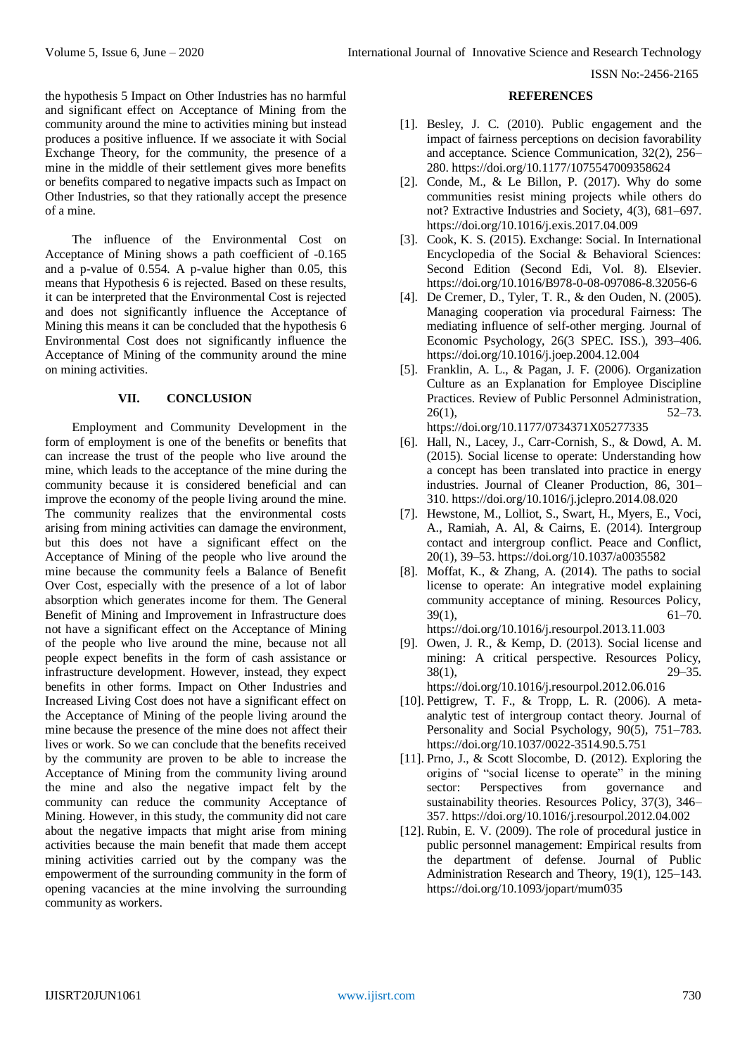the hypothesis 5 Impact on Other Industries has no harmful and significant effect on Acceptance of Mining from the community around the mine to activities mining but instead produces a positive influence. If we associate it with Social Exchange Theory, for the community, the presence of a mine in the middle of their settlement gives more benefits or benefits compared to negative impacts such as Impact on Other Industries, so that they rationally accept the presence of a mine.

The influence of the Environmental Cost on Acceptance of Mining shows a path coefficient of -0.165 and a p-value of 0.554. A p-value higher than 0.05, this means that Hypothesis 6 is rejected. Based on these results, it can be interpreted that the Environmental Cost is rejected and does not significantly influence the Acceptance of Mining this means it can be concluded that the hypothesis 6 Environmental Cost does not significantly influence the Acceptance of Mining of the community around the mine on mining activities.

## **VII. CONCLUSION**

Employment and Community Development in the form of employment is one of the benefits or benefits that can increase the trust of the people who live around the mine, which leads to the acceptance of the mine during the community because it is considered beneficial and can improve the economy of the people living around the mine. The community realizes that the environmental costs arising from mining activities can damage the environment, but this does not have a significant effect on the Acceptance of Mining of the people who live around the mine because the community feels a Balance of Benefit Over Cost, especially with the presence of a lot of labor absorption which generates income for them. The General Benefit of Mining and Improvement in Infrastructure does not have a significant effect on the Acceptance of Mining of the people who live around the mine, because not all people expect benefits in the form of cash assistance or infrastructure development. However, instead, they expect benefits in other forms. Impact on Other Industries and Increased Living Cost does not have a significant effect on the Acceptance of Mining of the people living around the mine because the presence of the mine does not affect their lives or work. So we can conclude that the benefits received by the community are proven to be able to increase the Acceptance of Mining from the community living around the mine and also the negative impact felt by the community can reduce the community Acceptance of Mining. However, in this study, the community did not care about the negative impacts that might arise from mining activities because the main benefit that made them accept mining activities carried out by the company was the empowerment of the surrounding community in the form of opening vacancies at the mine involving the surrounding community as workers.

## **REFERENCES**

- [1]. Besley, J. C. (2010). Public engagement and the impact of fairness perceptions on decision favorability and acceptance. Science Communication, 32(2), 256– 280[. https://doi.org/10.1177/1075547009358624](https://doi.org/10.1177/1075547009358624)
- [2]. Conde, M., & Le Billon, P. (2017). Why do some communities resist mining projects while others do not? Extractive Industries and Society, 4(3), 681–697. <https://doi.org/10.1016/j.exis.2017.04.009>
- [3]. Cook, K. S. (2015). Exchange: Social. In International Encyclopedia of the Social & Behavioral Sciences: Second Edition (Second Edi, Vol. 8). Elsevier. <https://doi.org/10.1016/B978-0-08-097086-8.32056-6>
- [4]. De Cremer, D., Tyler, T. R., & den Ouden, N. (2005). Managing cooperation via procedural Fairness: The mediating influence of self-other merging. Journal of Economic Psychology, 26(3 SPEC. ISS.), 393–406. <https://doi.org/10.1016/j.joep.2004.12.004>
- [5]. Franklin, A. L., & Pagan, J. F. (2006). Organization Culture as an Explanation for Employee Discipline Practices. Review of Public Personnel Administration,  $26(1)$ ,  $52-73$ . <https://doi.org/10.1177/0734371X05277335>
- [6]. Hall, N., Lacey, J., Carr-Cornish, S., & Dowd, A. M. (2015). Social license to operate: Understanding how a concept has been translated into practice in energy industries. Journal of Cleaner Production, 86, 301– 310[. https://doi.org/10.1016/j.jclepro.2014.08.020](https://doi.org/10.1016/j.jclepro.2014.08.020)
- [7]. Hewstone, M., Lolliot, S., Swart, H., Myers, E., Voci, A., Ramiah, A. Al, & Cairns, E. (2014). Intergroup contact and intergroup conflict. Peace and Conflict, 20(1), 39–53.<https://doi.org/10.1037/a0035582>
- [8]. Moffat, K., & Zhang, A. (2014). The paths to social license to operate: An integrative model explaining community acceptance of mining. Resources Policy,  $39(1)$ , 61–70. <https://doi.org/10.1016/j.resourpol.2013.11.003>

[9]. Owen, J. R., & Kemp, D. (2013). Social license and

- mining: A critical perspective. Resources Policy, 38(1), 29–35. <https://doi.org/10.1016/j.resourpol.2012.06.016>
- [10]. Pettigrew, T. F., & Tropp, L. R. (2006). A metaanalytic test of intergroup contact theory. Journal of Personality and Social Psychology, 90(5), 751–783. <https://doi.org/10.1037/0022-3514.90.5.751>
- [11]. Prno, J., & Scott Slocombe, D. (2012). Exploring the origins of "social license to operate" in the mining sector: Perspectives from governance and sustainability theories. Resources Policy, 37(3), 346– 357[. https://doi.org/10.1016/j.resourpol.2012.04.002](https://doi.org/10.1016/j.resourpol.2012.04.002)
- [12]. Rubin, E. V. (2009). The role of procedural justice in public personnel management: Empirical results from the department of defense. Journal of Public Administration Research and Theory, 19(1), 125–143. <https://doi.org/10.1093/jopart/mum035>